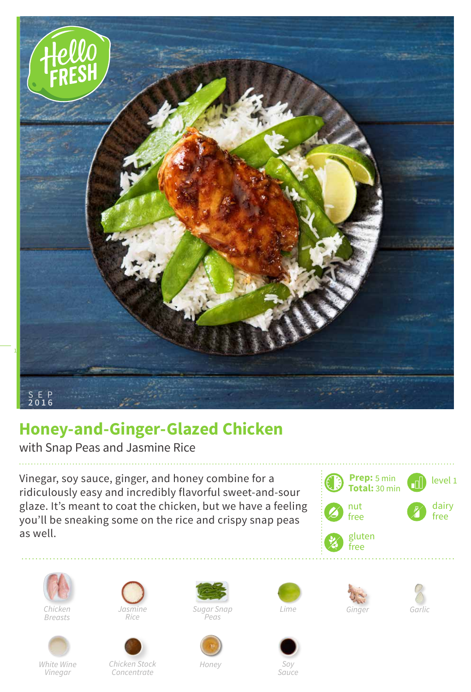

## **Honey-and-Ginger-Glazed Chicken**

with Snap Peas and Jasmine Rice

Vinegar, soy sauce, ginger, and honey combine for a ridiculously easy and incredibly flavorful sweet-and-sour glaze. It's meant to coat the chicken, but we have a feeling you'll be sneaking some on the rice and crispy snap peas as well.





*White Wine Vinegar*





*Chicken Stock Concentrate*

*Sugar Snap Jasmine Ginger Peas*



*Lime*







*Honey*

*Soy Sauce*